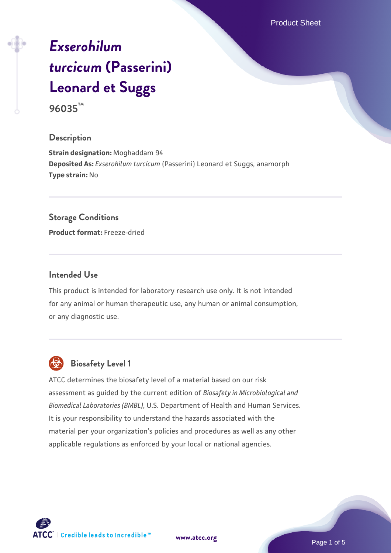Product Sheet

# *[Exserohilum](https://www.atcc.org/products/96035) [turcicum](https://www.atcc.org/products/96035)* **[\(Passerini\)](https://www.atcc.org/products/96035) [Leonard et Suggs](https://www.atcc.org/products/96035)**

**96035™**

#### **Description**

**Strain designation:** Moghaddam 94 **Deposited As:** *Exserohilum turcicum* (Passerini) Leonard et Suggs, anamorph **Type strain:** No

#### **Storage Conditions**

**Product format:** Freeze-dried

#### **Intended Use**

This product is intended for laboratory research use only. It is not intended for any animal or human therapeutic use, any human or animal consumption, or any diagnostic use.



# **Biosafety Level 1**

ATCC determines the biosafety level of a material based on our risk assessment as guided by the current edition of *Biosafety in Microbiological and Biomedical Laboratories (BMBL)*, U.S. Department of Health and Human Services. It is your responsibility to understand the hazards associated with the material per your organization's policies and procedures as well as any other applicable regulations as enforced by your local or national agencies.

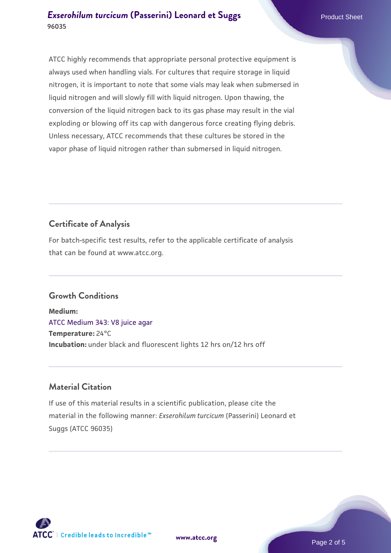ATCC highly recommends that appropriate personal protective equipment is always used when handling vials. For cultures that require storage in liquid nitrogen, it is important to note that some vials may leak when submersed in liquid nitrogen and will slowly fill with liquid nitrogen. Upon thawing, the conversion of the liquid nitrogen back to its gas phase may result in the vial exploding or blowing off its cap with dangerous force creating flying debris. Unless necessary, ATCC recommends that these cultures be stored in the vapor phase of liquid nitrogen rather than submersed in liquid nitrogen.

# **Certificate of Analysis**

For batch-specific test results, refer to the applicable certificate of analysis that can be found at www.atcc.org.

# **Growth Conditions**

**Medium:**  [ATCC Medium 343: V8 juice agar](https://www.atcc.org/-/media/product-assets/documents/microbial-media-formulations/3/4/3/atcc-medium-0343.pdf?rev=fbf48fa24e664932828269db1822ab12) **Temperature:** 24°C **Incubation:** under black and fluorescent lights 12 hrs on/12 hrs off

# **Material Citation**

If use of this material results in a scientific publication, please cite the material in the following manner: *Exserohilum turcicum* (Passerini) Leonard et Suggs (ATCC 96035)

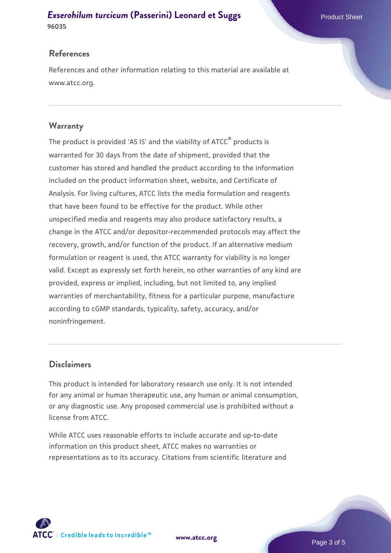#### **[Exserohilum turcicum](https://www.atcc.org/products/96035) [\(Passerini\) Leonard et Suggs](https://www.atcc.org/products/96035)** Product Sheet **96035**

#### **References**

References and other information relating to this material are available at www.atcc.org.

#### **Warranty**

The product is provided 'AS IS' and the viability of ATCC® products is warranted for 30 days from the date of shipment, provided that the customer has stored and handled the product according to the information included on the product information sheet, website, and Certificate of Analysis. For living cultures, ATCC lists the media formulation and reagents that have been found to be effective for the product. While other unspecified media and reagents may also produce satisfactory results, a change in the ATCC and/or depositor-recommended protocols may affect the recovery, growth, and/or function of the product. If an alternative medium formulation or reagent is used, the ATCC warranty for viability is no longer valid. Except as expressly set forth herein, no other warranties of any kind are provided, express or implied, including, but not limited to, any implied warranties of merchantability, fitness for a particular purpose, manufacture according to cGMP standards, typicality, safety, accuracy, and/or noninfringement.

#### **Disclaimers**

This product is intended for laboratory research use only. It is not intended for any animal or human therapeutic use, any human or animal consumption, or any diagnostic use. Any proposed commercial use is prohibited without a license from ATCC.

While ATCC uses reasonable efforts to include accurate and up-to-date information on this product sheet, ATCC makes no warranties or representations as to its accuracy. Citations from scientific literature and



**[www.atcc.org](http://www.atcc.org)**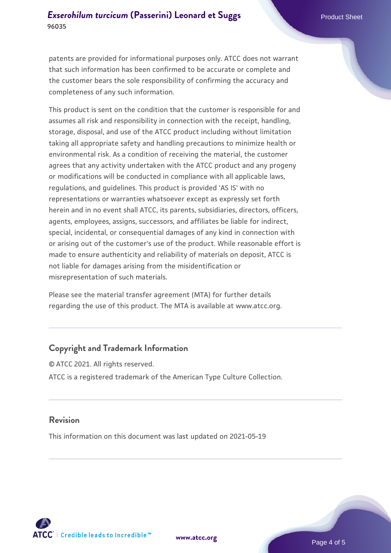#### **[Exserohilum turcicum](https://www.atcc.org/products/96035) [\(Passerini\) Leonard et Suggs](https://www.atcc.org/products/96035)** Product Sheet **96035**

patents are provided for informational purposes only. ATCC does not warrant that such information has been confirmed to be accurate or complete and the customer bears the sole responsibility of confirming the accuracy and completeness of any such information.

This product is sent on the condition that the customer is responsible for and assumes all risk and responsibility in connection with the receipt, handling, storage, disposal, and use of the ATCC product including without limitation taking all appropriate safety and handling precautions to minimize health or environmental risk. As a condition of receiving the material, the customer agrees that any activity undertaken with the ATCC product and any progeny or modifications will be conducted in compliance with all applicable laws, regulations, and guidelines. This product is provided 'AS IS' with no representations or warranties whatsoever except as expressly set forth herein and in no event shall ATCC, its parents, subsidiaries, directors, officers, agents, employees, assigns, successors, and affiliates be liable for indirect, special, incidental, or consequential damages of any kind in connection with or arising out of the customer's use of the product. While reasonable effort is made to ensure authenticity and reliability of materials on deposit, ATCC is not liable for damages arising from the misidentification or misrepresentation of such materials.

Please see the material transfer agreement (MTA) for further details regarding the use of this product. The MTA is available at www.atcc.org.

#### **Copyright and Trademark Information**

© ATCC 2021. All rights reserved. ATCC is a registered trademark of the American Type Culture Collection.

#### **Revision**

This information on this document was last updated on 2021-05-19



**[www.atcc.org](http://www.atcc.org)**